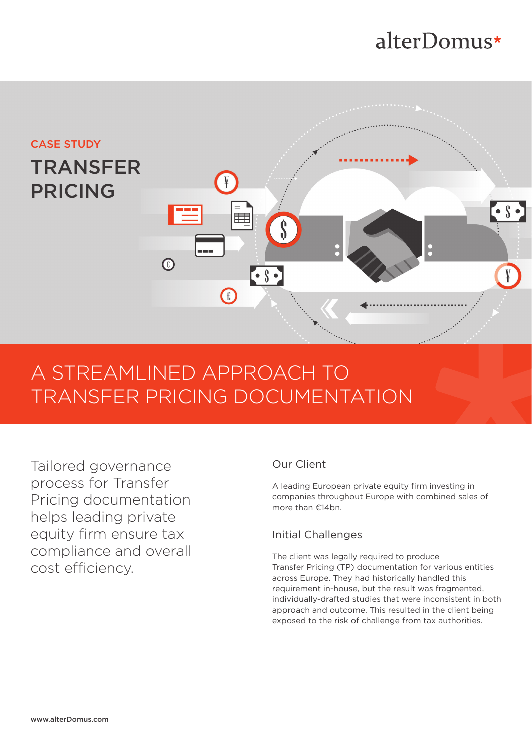# alterDomus\*



## A STREAMLINED APPROACH TO TRANSFER PRICING DOCUMENTATION

Tailored governance process for Transfer Pricing documentation helps leading private equity firm ensure tax compliance and overall cost efficiency.

## Our Client

A leading European private equity firm investing in companies throughout Europe with combined sales of more than €14bn.

## Initial Challenges

The client was legally required to produce Transfer Pricing (TP) documentation for various entities across Europe. They had historically handled this requirement in-house, but the result was fragmented, individually-drafted studies that were inconsistent in both approach and outcome. This resulted in the client being exposed to the risk of challenge from tax authorities.